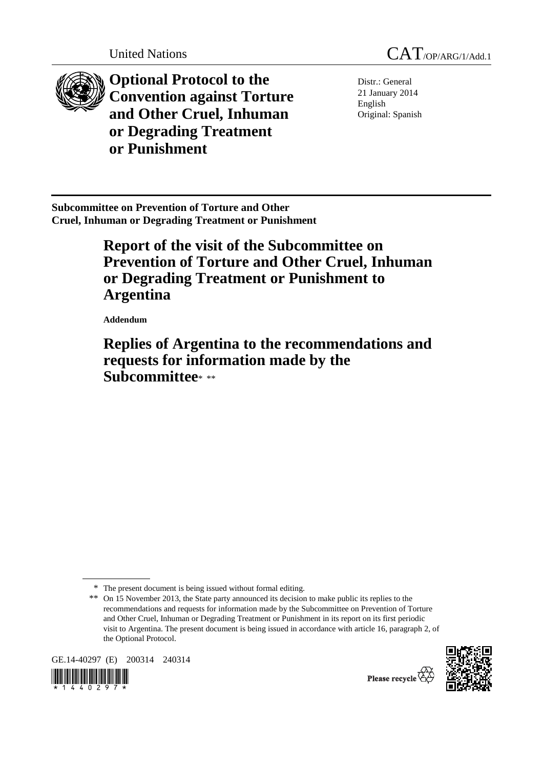



**Optional Protocol to the Convention against Torture and Other Cruel, Inhuman or Degrading Treatment or Punishment** 

Distr.: General 21 January 2014 English Original: Spanish

**Subcommittee on Prevention of Torture and Other Cruel, Inhuman or Degrading Treatment or Punishment** 

# **Report of the visit of the Subcommittee on Prevention of Torture and Other Cruel, Inhuman or Degrading Treatment or Punishment to Argentina**

 **Addendum** 

 **Replies of Argentina to the recommendations and requests for information made by the Subcommittee**\* \*\*

GE.14-40297 (E) 200314 240314





Please recycle

<sup>\*</sup> The present document is being issued without formal editing.

<sup>\*\*</sup> On 15 November 2013, the State party announced its decision to make public its replies to the recommendations and requests for information made by the Subcommittee on Prevention of Torture and Other Cruel, Inhuman or Degrading Treatment or Punishment in its report on its first periodic visit to Argentina. The present document is being issued in accordance with article 16, paragraph 2, of the Optional Protocol.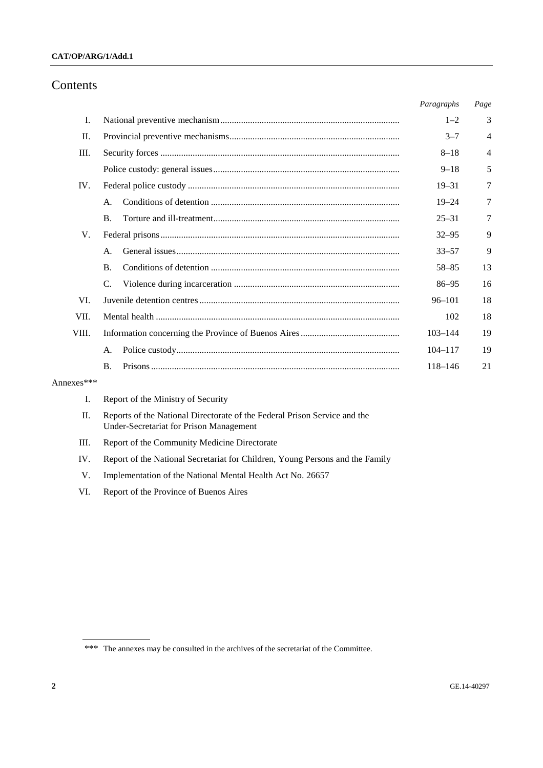### **CAT/OP/ARG/1/Add.1**

# Contents

|       |                | Paragraphs  | Page |
|-------|----------------|-------------|------|
| I.    |                | $1 - 2$     | 3    |
| II.   |                | $3 - 7$     | 4    |
| Ш.    |                | $8 - 18$    | 4    |
|       |                | $9 - 18$    | 5    |
| IV.   |                | $19 - 31$   | 7    |
|       | A.             | $19 - 24$   | 7    |
|       | $\mathbf{B}$ . | $25 - 31$   | 7    |
| V.    |                | $32 - 95$   | 9    |
|       | A.             | $33 - 57$   | 9    |
|       | <b>B.</b>      | $58 - 85$   | 13   |
|       | C.             | $86 - 95$   | 16   |
| VL.   |                | $96 - 101$  | 18   |
| VII.  |                | 102         | 18   |
| VIII. |                | $103 - 144$ | 19   |
|       | A.             | $104 - 117$ | 19   |
|       | $\bf{B}$ .     | $118 - 146$ | 21   |
|       |                |             |      |

# Annexes\*\*\*

|  |  |  |  |  |  | Report of the Ministry of Security |
|--|--|--|--|--|--|------------------------------------|
|--|--|--|--|--|--|------------------------------------|

- II. Reports of the National Directorate of the Federal Prison Service and the Under-Secretariat for Prison Management
- III. Report of the Community Medicine Directorate
- IV. Report of the National Secretariat for Children, Young Persons and the Family
- V. Implementation of the National Mental Health Act No. 26657
- VI. Report of the Province of Buenos Aires

<sup>\*\*\*</sup> The annexes may be consulted in the archives of the secretariat of the Committee.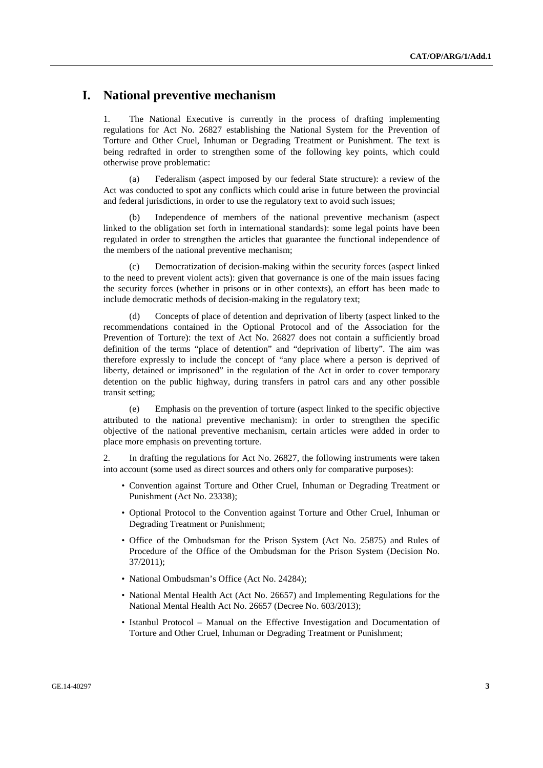# **I. National preventive mechanism**

1. The National Executive is currently in the process of drafting implementing regulations for Act No. 26827 establishing the National System for the Prevention of Torture and Other Cruel, Inhuman or Degrading Treatment or Punishment. The text is being redrafted in order to strengthen some of the following key points, which could otherwise prove problematic:

(a) Federalism (aspect imposed by our federal State structure): a review of the Act was conducted to spot any conflicts which could arise in future between the provincial and federal jurisdictions, in order to use the regulatory text to avoid such issues;

Independence of members of the national preventive mechanism (aspect linked to the obligation set forth in international standards): some legal points have been regulated in order to strengthen the articles that guarantee the functional independence of the members of the national preventive mechanism;

(c) Democratization of decision-making within the security forces (aspect linked to the need to prevent violent acts): given that governance is one of the main issues facing the security forces (whether in prisons or in other contexts), an effort has been made to include democratic methods of decision-making in the regulatory text;

(d) Concepts of place of detention and deprivation of liberty (aspect linked to the recommendations contained in the Optional Protocol and of the Association for the Prevention of Torture): the text of Act No. 26827 does not contain a sufficiently broad definition of the terms "place of detention" and "deprivation of liberty". The aim was therefore expressly to include the concept of "any place where a person is deprived of liberty, detained or imprisoned" in the regulation of the Act in order to cover temporary detention on the public highway, during transfers in patrol cars and any other possible transit setting;

(e) Emphasis on the prevention of torture (aspect linked to the specific objective attributed to the national preventive mechanism): in order to strengthen the specific objective of the national preventive mechanism, certain articles were added in order to place more emphasis on preventing torture.

2. In drafting the regulations for Act No. 26827, the following instruments were taken into account (some used as direct sources and others only for comparative purposes):

- Convention against Torture and Other Cruel, Inhuman or Degrading Treatment or Punishment (Act No. 23338);
- Optional Protocol to the Convention against Torture and Other Cruel, Inhuman or Degrading Treatment or Punishment;
- Office of the Ombudsman for the Prison System (Act No. 25875) and Rules of Procedure of the Office of the Ombudsman for the Prison System (Decision No. 37/2011);
- National Ombudsman's Office (Act No. 24284);
- National Mental Health Act (Act No. 26657) and Implementing Regulations for the National Mental Health Act No. 26657 (Decree No. 603/2013);
- Istanbul Protocol Manual on the Effective Investigation and Documentation of Torture and Other Cruel, Inhuman or Degrading Treatment or Punishment;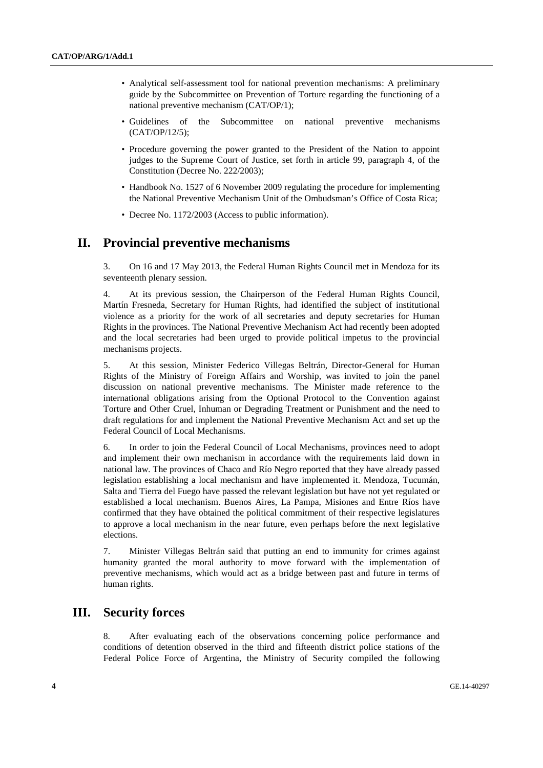- Analytical self-assessment tool for national prevention mechanisms: A preliminary guide by the Subcommittee on Prevention of Torture regarding the functioning of a national preventive mechanism (CAT/OP/1);
- Guidelines of the Subcommittee on national preventive mechanisms (CAT/OP/12/5);
- Procedure governing the power granted to the President of the Nation to appoint judges to the Supreme Court of Justice, set forth in article 99, paragraph 4, of the Constitution (Decree No. 222/2003);
- Handbook No. 1527 of 6 November 2009 regulating the procedure for implementing the National Preventive Mechanism Unit of the Ombudsman's Office of Costa Rica;
- Decree No. 1172/2003 (Access to public information).

# **II. Provincial preventive mechanisms**

3. On 16 and 17 May 2013, the Federal Human Rights Council met in Mendoza for its seventeenth plenary session.

4. At its previous session, the Chairperson of the Federal Human Rights Council, Martín Fresneda, Secretary for Human Rights, had identified the subject of institutional violence as a priority for the work of all secretaries and deputy secretaries for Human Rights in the provinces. The National Preventive Mechanism Act had recently been adopted and the local secretaries had been urged to provide political impetus to the provincial mechanisms projects.

5. At this session, Minister Federico Villegas Beltrán, Director-General for Human Rights of the Ministry of Foreign Affairs and Worship, was invited to join the panel discussion on national preventive mechanisms. The Minister made reference to the international obligations arising from the Optional Protocol to the Convention against Torture and Other Cruel, Inhuman or Degrading Treatment or Punishment and the need to draft regulations for and implement the National Preventive Mechanism Act and set up the Federal Council of Local Mechanisms.

6. In order to join the Federal Council of Local Mechanisms, provinces need to adopt and implement their own mechanism in accordance with the requirements laid down in national law. The provinces of Chaco and Río Negro reported that they have already passed legislation establishing a local mechanism and have implemented it. Mendoza, Tucumán, Salta and Tierra del Fuego have passed the relevant legislation but have not yet regulated or established a local mechanism. Buenos Aires, La Pampa, Misiones and Entre Ríos have confirmed that they have obtained the political commitment of their respective legislatures to approve a local mechanism in the near future, even perhaps before the next legislative elections.

7. Minister Villegas Beltrán said that putting an end to immunity for crimes against humanity granted the moral authority to move forward with the implementation of preventive mechanisms, which would act as a bridge between past and future in terms of human rights.

# **III. Security forces**

8. After evaluating each of the observations concerning police performance and conditions of detention observed in the third and fifteenth district police stations of the Federal Police Force of Argentina, the Ministry of Security compiled the following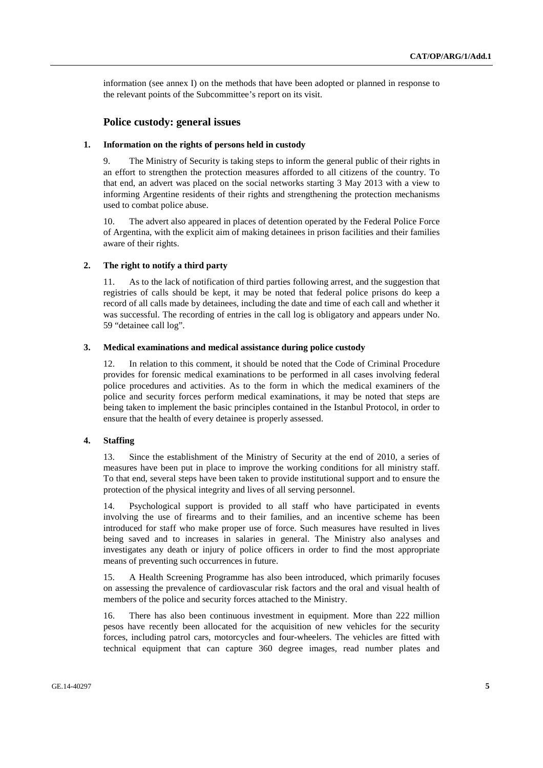information (see annex I) on the methods that have been adopted or planned in response to the relevant points of the Subcommittee's report on its visit.

# **Police custody: general issues**

#### **1. Information on the rights of persons held in custody**

9. The Ministry of Security is taking steps to inform the general public of their rights in an effort to strengthen the protection measures afforded to all citizens of the country. To that end, an advert was placed on the social networks starting 3 May 2013 with a view to informing Argentine residents of their rights and strengthening the protection mechanisms used to combat police abuse.

10. The advert also appeared in places of detention operated by the Federal Police Force of Argentina, with the explicit aim of making detainees in prison facilities and their families aware of their rights.

### **2. The right to notify a third party**

11. As to the lack of notification of third parties following arrest, and the suggestion that registries of calls should be kept, it may be noted that federal police prisons do keep a record of all calls made by detainees, including the date and time of each call and whether it was successful. The recording of entries in the call log is obligatory and appears under No. 59 "detainee call log".

#### **3. Medical examinations and medical assistance during police custody**

12. In relation to this comment, it should be noted that the Code of Criminal Procedure provides for forensic medical examinations to be performed in all cases involving federal police procedures and activities. As to the form in which the medical examiners of the police and security forces perform medical examinations, it may be noted that steps are being taken to implement the basic principles contained in the Istanbul Protocol, in order to ensure that the health of every detainee is properly assessed.

### **4. Staffing**

13. Since the establishment of the Ministry of Security at the end of 2010, a series of measures have been put in place to improve the working conditions for all ministry staff. To that end, several steps have been taken to provide institutional support and to ensure the protection of the physical integrity and lives of all serving personnel.

14. Psychological support is provided to all staff who have participated in events involving the use of firearms and to their families, and an incentive scheme has been introduced for staff who make proper use of force. Such measures have resulted in lives being saved and to increases in salaries in general. The Ministry also analyses and investigates any death or injury of police officers in order to find the most appropriate means of preventing such occurrences in future.

15. A Health Screening Programme has also been introduced, which primarily focuses on assessing the prevalence of cardiovascular risk factors and the oral and visual health of members of the police and security forces attached to the Ministry.

16. There has also been continuous investment in equipment. More than 222 million pesos have recently been allocated for the acquisition of new vehicles for the security forces, including patrol cars, motorcycles and four-wheelers. The vehicles are fitted with technical equipment that can capture 360 degree images, read number plates and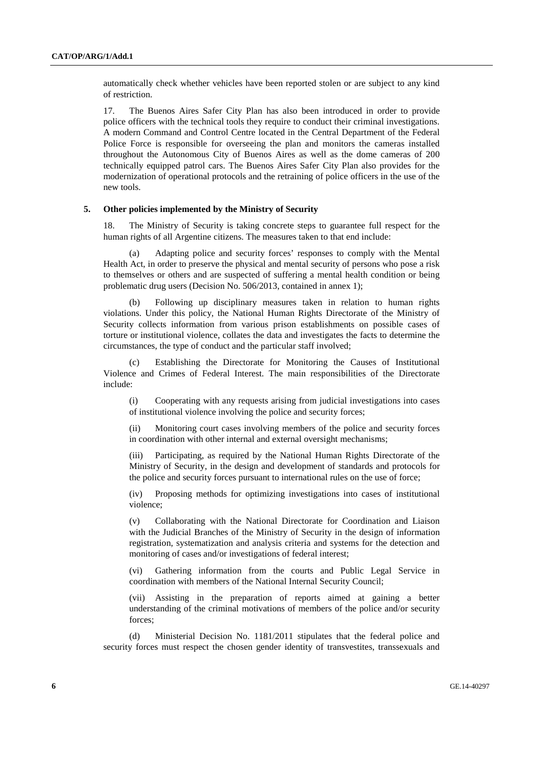automatically check whether vehicles have been reported stolen or are subject to any kind of restriction.

17. The Buenos Aires Safer City Plan has also been introduced in order to provide police officers with the technical tools they require to conduct their criminal investigations. A modern Command and Control Centre located in the Central Department of the Federal Police Force is responsible for overseeing the plan and monitors the cameras installed throughout the Autonomous City of Buenos Aires as well as the dome cameras of 200 technically equipped patrol cars. The Buenos Aires Safer City Plan also provides for the modernization of operational protocols and the retraining of police officers in the use of the new tools.

#### **5. Other policies implemented by the Ministry of Security**

18. The Ministry of Security is taking concrete steps to guarantee full respect for the human rights of all Argentine citizens. The measures taken to that end include:

 (a) Adapting police and security forces' responses to comply with the Mental Health Act, in order to preserve the physical and mental security of persons who pose a risk to themselves or others and are suspected of suffering a mental health condition or being problematic drug users (Decision No. 506/2013, contained in annex 1);

 (b) Following up disciplinary measures taken in relation to human rights violations. Under this policy, the National Human Rights Directorate of the Ministry of Security collects information from various prison establishments on possible cases of torture or institutional violence, collates the data and investigates the facts to determine the circumstances, the type of conduct and the particular staff involved;

 (c) Establishing the Directorate for Monitoring the Causes of Institutional Violence and Crimes of Federal Interest. The main responsibilities of the Directorate include:

(i) Cooperating with any requests arising from judicial investigations into cases of institutional violence involving the police and security forces;

(ii) Monitoring court cases involving members of the police and security forces in coordination with other internal and external oversight mechanisms;

(iii) Participating, as required by the National Human Rights Directorate of the Ministry of Security, in the design and development of standards and protocols for the police and security forces pursuant to international rules on the use of force;

(iv) Proposing methods for optimizing investigations into cases of institutional violence;

(v) Collaborating with the National Directorate for Coordination and Liaison with the Judicial Branches of the Ministry of Security in the design of information registration, systematization and analysis criteria and systems for the detection and monitoring of cases and/or investigations of federal interest;

(vi) Gathering information from the courts and Public Legal Service in coordination with members of the National Internal Security Council;

(vii) Assisting in the preparation of reports aimed at gaining a better understanding of the criminal motivations of members of the police and/or security forces;

 (d) Ministerial Decision No. 1181/2011 stipulates that the federal police and security forces must respect the chosen gender identity of transvestites, transsexuals and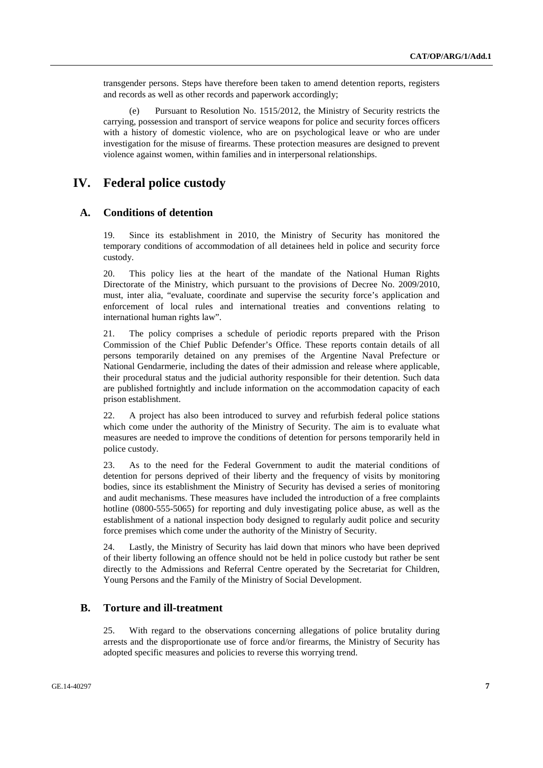transgender persons. Steps have therefore been taken to amend detention reports, registers and records as well as other records and paperwork accordingly;

 (e) Pursuant to Resolution No. 1515/2012, the Ministry of Security restricts the carrying, possession and transport of service weapons for police and security forces officers with a history of domestic violence, who are on psychological leave or who are under investigation for the misuse of firearms. These protection measures are designed to prevent violence against women, within families and in interpersonal relationships.

# **IV. Federal police custody**

## **A. Conditions of detention**

19. Since its establishment in 2010, the Ministry of Security has monitored the temporary conditions of accommodation of all detainees held in police and security force custody.

20. This policy lies at the heart of the mandate of the National Human Rights Directorate of the Ministry, which pursuant to the provisions of Decree No. 2009/2010, must, inter alia, "evaluate, coordinate and supervise the security force's application and enforcement of local rules and international treaties and conventions relating to international human rights law".

21. The policy comprises a schedule of periodic reports prepared with the Prison Commission of the Chief Public Defender's Office. These reports contain details of all persons temporarily detained on any premises of the Argentine Naval Prefecture or National Gendarmerie, including the dates of their admission and release where applicable, their procedural status and the judicial authority responsible for their detention. Such data are published fortnightly and include information on the accommodation capacity of each prison establishment.

22. A project has also been introduced to survey and refurbish federal police stations which come under the authority of the Ministry of Security. The aim is to evaluate what measures are needed to improve the conditions of detention for persons temporarily held in police custody.

23. As to the need for the Federal Government to audit the material conditions of detention for persons deprived of their liberty and the frequency of visits by monitoring bodies, since its establishment the Ministry of Security has devised a series of monitoring and audit mechanisms. These measures have included the introduction of a free complaints hotline (0800-555-5065) for reporting and duly investigating police abuse, as well as the establishment of a national inspection body designed to regularly audit police and security force premises which come under the authority of the Ministry of Security.

24. Lastly, the Ministry of Security has laid down that minors who have been deprived of their liberty following an offence should not be held in police custody but rather be sent directly to the Admissions and Referral Centre operated by the Secretariat for Children, Young Persons and the Family of the Ministry of Social Development.

# **B. Torture and ill-treatment**

25. With regard to the observations concerning allegations of police brutality during arrests and the disproportionate use of force and/or firearms, the Ministry of Security has adopted specific measures and policies to reverse this worrying trend.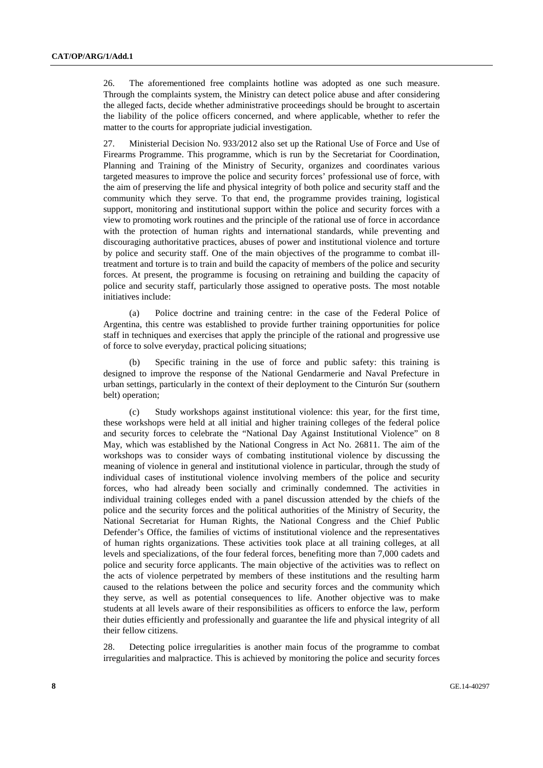26. The aforementioned free complaints hotline was adopted as one such measure. Through the complaints system, the Ministry can detect police abuse and after considering the alleged facts, decide whether administrative proceedings should be brought to ascertain the liability of the police officers concerned, and where applicable, whether to refer the matter to the courts for appropriate judicial investigation.

27. Ministerial Decision No. 933/2012 also set up the Rational Use of Force and Use of Firearms Programme. This programme, which is run by the Secretariat for Coordination, Planning and Training of the Ministry of Security, organizes and coordinates various targeted measures to improve the police and security forces' professional use of force, with the aim of preserving the life and physical integrity of both police and security staff and the community which they serve. To that end, the programme provides training, logistical support, monitoring and institutional support within the police and security forces with a view to promoting work routines and the principle of the rational use of force in accordance with the protection of human rights and international standards, while preventing and discouraging authoritative practices, abuses of power and institutional violence and torture by police and security staff. One of the main objectives of the programme to combat illtreatment and torture is to train and build the capacity of members of the police and security forces. At present, the programme is focusing on retraining and building the capacity of police and security staff, particularly those assigned to operative posts. The most notable initiatives include:

 (a) Police doctrine and training centre: in the case of the Federal Police of Argentina, this centre was established to provide further training opportunities for police staff in techniques and exercises that apply the principle of the rational and progressive use of force to solve everyday, practical policing situations;

 (b) Specific training in the use of force and public safety: this training is designed to improve the response of the National Gendarmerie and Naval Prefecture in urban settings, particularly in the context of their deployment to the Cinturón Sur (southern belt) operation;

 (c) Study workshops against institutional violence: this year, for the first time, these workshops were held at all initial and higher training colleges of the federal police and security forces to celebrate the "National Day Against Institutional Violence" on 8 May, which was established by the National Congress in Act No. 26811. The aim of the workshops was to consider ways of combating institutional violence by discussing the meaning of violence in general and institutional violence in particular, through the study of individual cases of institutional violence involving members of the police and security forces, who had already been socially and criminally condemned. The activities in individual training colleges ended with a panel discussion attended by the chiefs of the police and the security forces and the political authorities of the Ministry of Security, the National Secretariat for Human Rights, the National Congress and the Chief Public Defender's Office, the families of victims of institutional violence and the representatives of human rights organizations. These activities took place at all training colleges, at all levels and specializations, of the four federal forces, benefiting more than 7,000 cadets and police and security force applicants. The main objective of the activities was to reflect on the acts of violence perpetrated by members of these institutions and the resulting harm caused to the relations between the police and security forces and the community which they serve, as well as potential consequences to life. Another objective was to make students at all levels aware of their responsibilities as officers to enforce the law, perform their duties efficiently and professionally and guarantee the life and physical integrity of all their fellow citizens.

28. Detecting police irregularities is another main focus of the programme to combat irregularities and malpractice. This is achieved by monitoring the police and security forces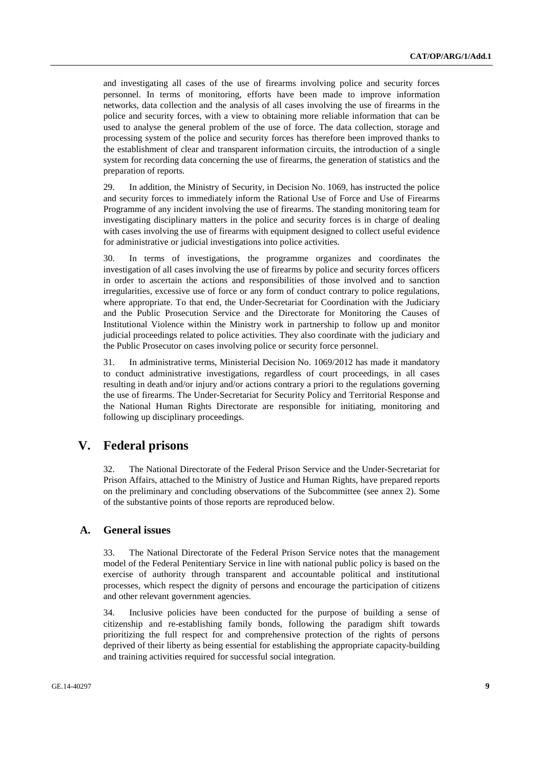and investigating all cases of the use of firearms involving police and security forces personnel. In terms of monitoring, efforts have been made to improve information networks, data collection and the analysis of all cases involving the use of firearms in the police and security forces, with a view to obtaining more reliable information that can be used to analyse the general problem of the use of force. The data collection, storage and processing system of the police and security forces has therefore been improved thanks to the establishment of clear and transparent information circuits, the introduction of a single system for recording data concerning the use of firearms, the generation of statistics and the preparation of reports.

29. In addition, the Ministry of Security, in Decision No. 1069, has instructed the police and security forces to immediately inform the Rational Use of Force and Use of Firearms Programme of any incident involving the use of firearms. The standing monitoring team for investigating disciplinary matters in the police and security forces is in charge of dealing with cases involving the use of firearms with equipment designed to collect useful evidence for administrative or judicial investigations into police activities.

30. In terms of investigations, the programme organizes and coordinates the investigation of all cases involving the use of firearms by police and security forces officers in order to ascertain the actions and responsibilities of those involved and to sanction irregularities, excessive use of force or any form of conduct contrary to police regulations, where appropriate. To that end, the Under-Secretariat for Coordination with the Judiciary and the Public Prosecution Service and the Directorate for Monitoring the Causes of Institutional Violence within the Ministry work in partnership to follow up and monitor judicial proceedings related to police activities. They also coordinate with the judiciary and the Public Prosecutor on cases involving police or security force personnel.

31. In administrative terms, Ministerial Decision No. 1069/2012 has made it mandatory to conduct administrative investigations, regardless of court proceedings, in all cases resulting in death and/or injury and/or actions contrary a priori to the regulations governing the use of firearms. The Under-Secretariat for Security Policy and Territorial Response and the National Human Rights Directorate are responsible for initiating, monitoring and following up disciplinary proceedings.

# **V. Federal prisons**

32. The National Directorate of the Federal Prison Service and the Under-Secretariat for Prison Affairs, attached to the Ministry of Justice and Human Rights, have prepared reports on the preliminary and concluding observations of the Subcommittee (see annex 2). Some of the substantive points of those reports are reproduced below.

### **A. General issues**

33. The National Directorate of the Federal Prison Service notes that the management model of the Federal Penitentiary Service in line with national public policy is based on the exercise of authority through transparent and accountable political and institutional processes, which respect the dignity of persons and encourage the participation of citizens and other relevant government agencies.

34. Inclusive policies have been conducted for the purpose of building a sense of citizenship and re-establishing family bonds, following the paradigm shift towards prioritizing the full respect for and comprehensive protection of the rights of persons deprived of their liberty as being essential for establishing the appropriate capacity-building and training activities required for successful social integration.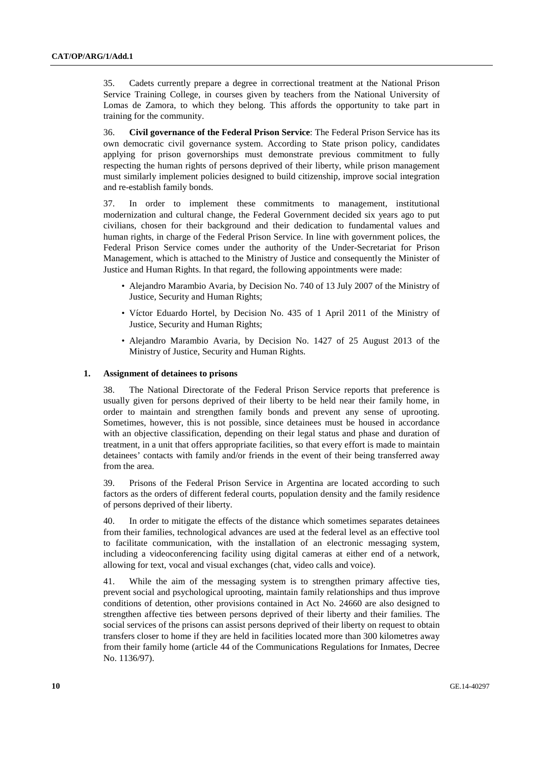35. Cadets currently prepare a degree in correctional treatment at the National Prison Service Training College, in courses given by teachers from the National University of Lomas de Zamora, to which they belong. This affords the opportunity to take part in training for the community.

36. **Civil governance of the Federal Prison Service**: The Federal Prison Service has its own democratic civil governance system. According to State prison policy, candidates applying for prison governorships must demonstrate previous commitment to fully respecting the human rights of persons deprived of their liberty, while prison management must similarly implement policies designed to build citizenship, improve social integration and re-establish family bonds.

37. In order to implement these commitments to management, institutional modernization and cultural change, the Federal Government decided six years ago to put civilians, chosen for their background and their dedication to fundamental values and human rights, in charge of the Federal Prison Service. In line with government polices, the Federal Prison Service comes under the authority of the Under-Secretariat for Prison Management, which is attached to the Ministry of Justice and consequently the Minister of Justice and Human Rights. In that regard, the following appointments were made:

- Alejandro Marambio Avaria, by Decision No. 740 of 13 July 2007 of the Ministry of Justice, Security and Human Rights;
- Víctor Eduardo Hortel, by Decision No. 435 of 1 April 2011 of the Ministry of Justice, Security and Human Rights;
- Alejandro Marambio Avaria, by Decision No. 1427 of 25 August 2013 of the Ministry of Justice, Security and Human Rights.

#### **1. Assignment of detainees to prisons**

38. The National Directorate of the Federal Prison Service reports that preference is usually given for persons deprived of their liberty to be held near their family home, in order to maintain and strengthen family bonds and prevent any sense of uprooting. Sometimes, however, this is not possible, since detainees must be housed in accordance with an objective classification, depending on their legal status and phase and duration of treatment, in a unit that offers appropriate facilities, so that every effort is made to maintain detainees' contacts with family and/or friends in the event of their being transferred away from the area.

39. Prisons of the Federal Prison Service in Argentina are located according to such factors as the orders of different federal courts, population density and the family residence of persons deprived of their liberty.

40. In order to mitigate the effects of the distance which sometimes separates detainees from their families, technological advances are used at the federal level as an effective tool to facilitate communication, with the installation of an electronic messaging system, including a videoconferencing facility using digital cameras at either end of a network, allowing for text, vocal and visual exchanges (chat, video calls and voice).

41. While the aim of the messaging system is to strengthen primary affective ties, prevent social and psychological uprooting, maintain family relationships and thus improve conditions of detention, other provisions contained in Act No. 24660 are also designed to strengthen affective ties between persons deprived of their liberty and their families. The social services of the prisons can assist persons deprived of their liberty on request to obtain transfers closer to home if they are held in facilities located more than 300 kilometres away from their family home (article 44 of the Communications Regulations for Inmates, Decree No. 1136/97).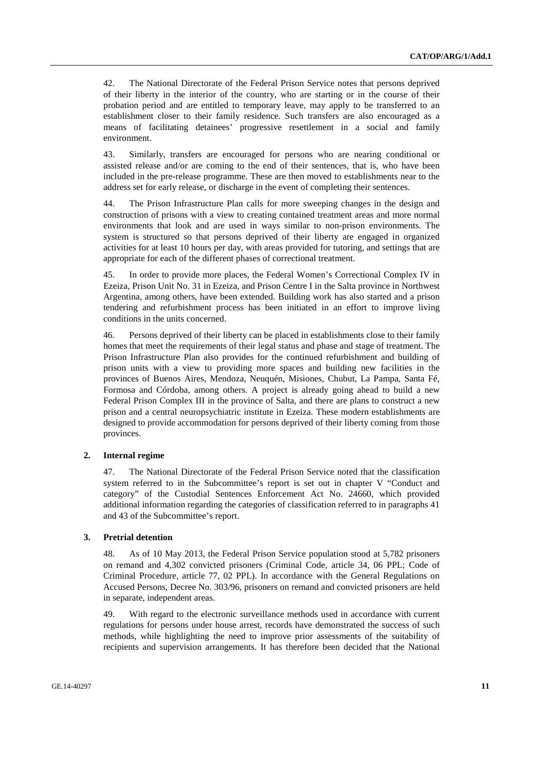42. The National Directorate of the Federal Prison Service notes that persons deprived of their liberty in the interior of the country, who are starting or in the course of their probation period and are entitled to temporary leave, may apply to be transferred to an establishment closer to their family residence. Such transfers are also encouraged as a means of facilitating detainees' progressive resettlement in a social and family environment.

43. Similarly, transfers are encouraged for persons who are nearing conditional or assisted release and/or are coming to the end of their sentences, that is, who have been included in the pre-release programme. These are then moved to establishments near to the address set for early release, or discharge in the event of completing their sentences.

44. The Prison Infrastructure Plan calls for more sweeping changes in the design and construction of prisons with a view to creating contained treatment areas and more normal environments that look and are used in ways similar to non-prison environments. The system is structured so that persons deprived of their liberty are engaged in organized activities for at least 10 hours per day, with areas provided for tutoring, and settings that are appropriate for each of the different phases of correctional treatment.

45. In order to provide more places, the Federal Women's Correctional Complex IV in Ezeiza, Prison Unit No. 31 in Ezeiza, and Prison Centre I in the Salta province in Northwest Argentina, among others, have been extended. Building work has also started and a prison tendering and refurbishment process has been initiated in an effort to improve living conditions in the units concerned.

46. Persons deprived of their liberty can be placed in establishments close to their family homes that meet the requirements of their legal status and phase and stage of treatment. The Prison Infrastructure Plan also provides for the continued refurbishment and building of prison units with a view to providing more spaces and building new facilities in the provinces of Buenos Aires, Mendoza, Neuquén, Misiones, Chubut, La Pampa, Santa Fé, Formosa and Córdoba, among others. A project is already going ahead to build a new Federal Prison Complex III in the province of Salta, and there are plans to construct a new prison and a central neuropsychiatric institute in Ezeiza. These modern establishments are designed to provide accommodation for persons deprived of their liberty coming from those provinces.

#### **2. Internal regime**

47. The National Directorate of the Federal Prison Service noted that the classification system referred to in the Subcommittee's report is set out in chapter V "Conduct and category" of the Custodial Sentences Enforcement Act No. 24660, which provided additional information regarding the categories of classification referred to in paragraphs 41 and 43 of the Subcommittee's report.

### **3. Pretrial detention**

48. As of 10 May 2013, the Federal Prison Service population stood at 5,782 prisoners on remand and 4,302 convicted prisoners (Criminal Code, article 34, 06 PPL; Code of Criminal Procedure, article 77, 02 PPL). In accordance with the General Regulations on Accused Persons, Decree No. 303/96, prisoners on remand and convicted prisoners are held in separate, independent areas.

49. With regard to the electronic surveillance methods used in accordance with current regulations for persons under house arrest, records have demonstrated the success of such methods, while highlighting the need to improve prior assessments of the suitability of recipients and supervision arrangements. It has therefore been decided that the National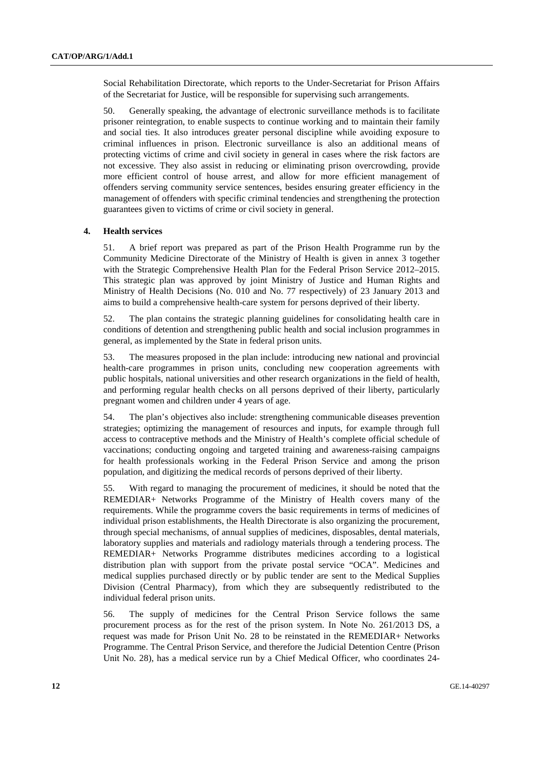Social Rehabilitation Directorate, which reports to the Under-Secretariat for Prison Affairs of the Secretariat for Justice, will be responsible for supervising such arrangements.

50. Generally speaking, the advantage of electronic surveillance methods is to facilitate prisoner reintegration, to enable suspects to continue working and to maintain their family and social ties. It also introduces greater personal discipline while avoiding exposure to criminal influences in prison. Electronic surveillance is also an additional means of protecting victims of crime and civil society in general in cases where the risk factors are not excessive. They also assist in reducing or eliminating prison overcrowding, provide more efficient control of house arrest, and allow for more efficient management of offenders serving community service sentences, besides ensuring greater efficiency in the management of offenders with specific criminal tendencies and strengthening the protection guarantees given to victims of crime or civil society in general.

### **4. Health services**

51. A brief report was prepared as part of the Prison Health Programme run by the Community Medicine Directorate of the Ministry of Health is given in annex 3 together with the Strategic Comprehensive Health Plan for the Federal Prison Service 2012–2015. This strategic plan was approved by joint Ministry of Justice and Human Rights and Ministry of Health Decisions (No. 010 and No. 77 respectively) of 23 January 2013 and aims to build a comprehensive health-care system for persons deprived of their liberty.

52. The plan contains the strategic planning guidelines for consolidating health care in conditions of detention and strengthening public health and social inclusion programmes in general, as implemented by the State in federal prison units.

53. The measures proposed in the plan include: introducing new national and provincial health-care programmes in prison units, concluding new cooperation agreements with public hospitals, national universities and other research organizations in the field of health, and performing regular health checks on all persons deprived of their liberty, particularly pregnant women and children under 4 years of age.

54. The plan's objectives also include: strengthening communicable diseases prevention strategies; optimizing the management of resources and inputs, for example through full access to contraceptive methods and the Ministry of Health's complete official schedule of vaccinations; conducting ongoing and targeted training and awareness-raising campaigns for health professionals working in the Federal Prison Service and among the prison population, and digitizing the medical records of persons deprived of their liberty.

55. With regard to managing the procurement of medicines, it should be noted that the REMEDIAR+ Networks Programme of the Ministry of Health covers many of the requirements. While the programme covers the basic requirements in terms of medicines of individual prison establishments, the Health Directorate is also organizing the procurement, through special mechanisms, of annual supplies of medicines, disposables, dental materials, laboratory supplies and materials and radiology materials through a tendering process. The REMEDIAR+ Networks Programme distributes medicines according to a logistical distribution plan with support from the private postal service "OCA". Medicines and medical supplies purchased directly or by public tender are sent to the Medical Supplies Division (Central Pharmacy), from which they are subsequently redistributed to the individual federal prison units.

56. The supply of medicines for the Central Prison Service follows the same procurement process as for the rest of the prison system. In Note No. 261/2013 DS, a request was made for Prison Unit No. 28 to be reinstated in the REMEDIAR+ Networks Programme. The Central Prison Service, and therefore the Judicial Detention Centre (Prison Unit No. 28), has a medical service run by a Chief Medical Officer, who coordinates 24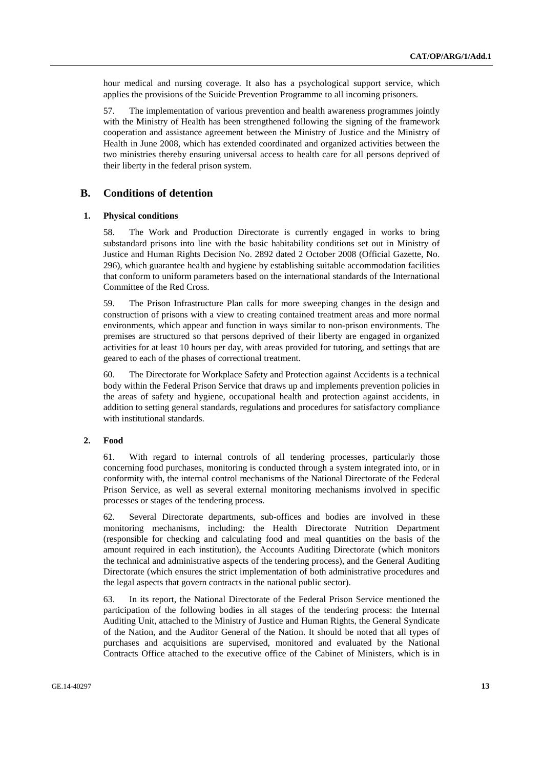hour medical and nursing coverage. It also has a psychological support service, which applies the provisions of the Suicide Prevention Programme to all incoming prisoners.

57. The implementation of various prevention and health awareness programmes jointly with the Ministry of Health has been strengthened following the signing of the framework cooperation and assistance agreement between the Ministry of Justice and the Ministry of Health in June 2008, which has extended coordinated and organized activities between the two ministries thereby ensuring universal access to health care for all persons deprived of their liberty in the federal prison system.

# **B. Conditions of detention**

### **1. Physical conditions**

58. The Work and Production Directorate is currently engaged in works to bring substandard prisons into line with the basic habitability conditions set out in Ministry of Justice and Human Rights Decision No. 2892 dated 2 October 2008 (Official Gazette, No. 296), which guarantee health and hygiene by establishing suitable accommodation facilities that conform to uniform parameters based on the international standards of the International Committee of the Red Cross.

59. The Prison Infrastructure Plan calls for more sweeping changes in the design and construction of prisons with a view to creating contained treatment areas and more normal environments, which appear and function in ways similar to non-prison environments. The premises are structured so that persons deprived of their liberty are engaged in organized activities for at least 10 hours per day, with areas provided for tutoring, and settings that are geared to each of the phases of correctional treatment.

60. The Directorate for Workplace Safety and Protection against Accidents is a technical body within the Federal Prison Service that draws up and implements prevention policies in the areas of safety and hygiene, occupational health and protection against accidents, in addition to setting general standards, regulations and procedures for satisfactory compliance with institutional standards.

#### **2. Food**

61. With regard to internal controls of all tendering processes, particularly those concerning food purchases, monitoring is conducted through a system integrated into, or in conformity with, the internal control mechanisms of the National Directorate of the Federal Prison Service, as well as several external monitoring mechanisms involved in specific processes or stages of the tendering process.

62. Several Directorate departments, sub-offices and bodies are involved in these monitoring mechanisms, including: the Health Directorate Nutrition Department (responsible for checking and calculating food and meal quantities on the basis of the amount required in each institution), the Accounts Auditing Directorate (which monitors the technical and administrative aspects of the tendering process), and the General Auditing Directorate (which ensures the strict implementation of both administrative procedures and the legal aspects that govern contracts in the national public sector).

63. In its report, the National Directorate of the Federal Prison Service mentioned the participation of the following bodies in all stages of the tendering process: the Internal Auditing Unit, attached to the Ministry of Justice and Human Rights, the General Syndicate of the Nation, and the Auditor General of the Nation. It should be noted that all types of purchases and acquisitions are supervised, monitored and evaluated by the National Contracts Office attached to the executive office of the Cabinet of Ministers, which is in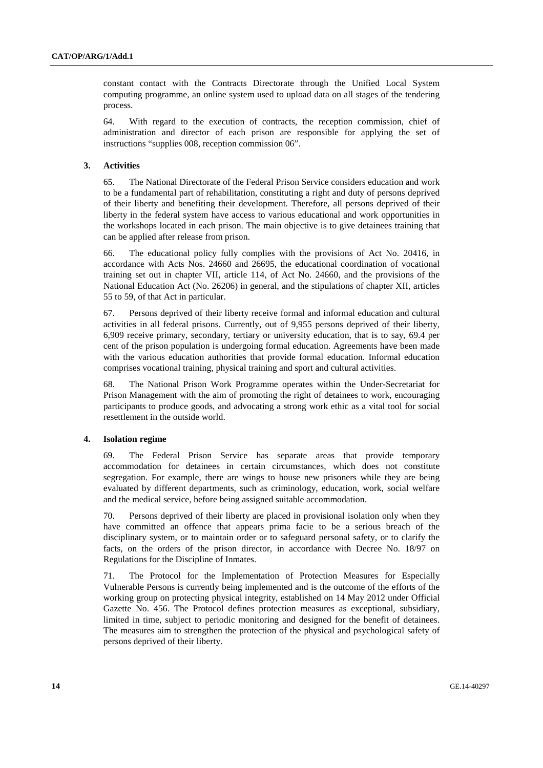constant contact with the Contracts Directorate through the Unified Local System computing programme, an online system used to upload data on all stages of the tendering process.

64. With regard to the execution of contracts, the reception commission, chief of administration and director of each prison are responsible for applying the set of instructions "supplies 008, reception commission 06".

### **3. Activities**

65. The National Directorate of the Federal Prison Service considers education and work to be a fundamental part of rehabilitation, constituting a right and duty of persons deprived of their liberty and benefiting their development. Therefore, all persons deprived of their liberty in the federal system have access to various educational and work opportunities in the workshops located in each prison. The main objective is to give detainees training that can be applied after release from prison.

66. The educational policy fully complies with the provisions of Act No. 20416, in accordance with Acts Nos. 24660 and 26695, the educational coordination of vocational training set out in chapter VII, article 114, of Act No. 24660, and the provisions of the National Education Act (No. 26206) in general, and the stipulations of chapter XII, articles 55 to 59, of that Act in particular.

67. Persons deprived of their liberty receive formal and informal education and cultural activities in all federal prisons. Currently, out of 9,955 persons deprived of their liberty, 6,909 receive primary, secondary, tertiary or university education, that is to say, 69.4 per cent of the prison population is undergoing formal education. Agreements have been made with the various education authorities that provide formal education. Informal education comprises vocational training, physical training and sport and cultural activities.

68. The National Prison Work Programme operates within the Under-Secretariat for Prison Management with the aim of promoting the right of detainees to work, encouraging participants to produce goods, and advocating a strong work ethic as a vital tool for social resettlement in the outside world.

#### **4. Isolation regime**

69. The Federal Prison Service has separate areas that provide temporary accommodation for detainees in certain circumstances, which does not constitute segregation. For example, there are wings to house new prisoners while they are being evaluated by different departments, such as criminology, education, work, social welfare and the medical service, before being assigned suitable accommodation.

70. Persons deprived of their liberty are placed in provisional isolation only when they have committed an offence that appears prima facie to be a serious breach of the disciplinary system, or to maintain order or to safeguard personal safety, or to clarify the facts, on the orders of the prison director, in accordance with Decree No. 18/97 on Regulations for the Discipline of Inmates.

71. The Protocol for the Implementation of Protection Measures for Especially Vulnerable Persons is currently being implemented and is the outcome of the efforts of the working group on protecting physical integrity, established on 14 May 2012 under Official Gazette No. 456. The Protocol defines protection measures as exceptional, subsidiary, limited in time, subject to periodic monitoring and designed for the benefit of detainees. The measures aim to strengthen the protection of the physical and psychological safety of persons deprived of their liberty.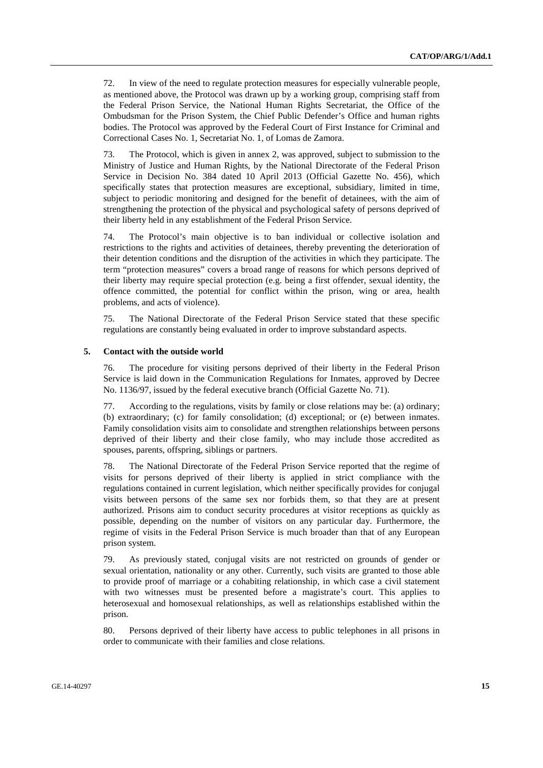72. In view of the need to regulate protection measures for especially vulnerable people, as mentioned above, the Protocol was drawn up by a working group, comprising staff from the Federal Prison Service, the National Human Rights Secretariat, the Office of the Ombudsman for the Prison System, the Chief Public Defender's Office and human rights bodies. The Protocol was approved by the Federal Court of First Instance for Criminal and Correctional Cases No. 1, Secretariat No. 1, of Lomas de Zamora.

73. The Protocol, which is given in annex 2, was approved, subject to submission to the Ministry of Justice and Human Rights, by the National Directorate of the Federal Prison Service in Decision No. 384 dated 10 April 2013 (Official Gazette No. 456), which specifically states that protection measures are exceptional, subsidiary, limited in time, subject to periodic monitoring and designed for the benefit of detainees, with the aim of strengthening the protection of the physical and psychological safety of persons deprived of their liberty held in any establishment of the Federal Prison Service.

74. The Protocol's main objective is to ban individual or collective isolation and restrictions to the rights and activities of detainees, thereby preventing the deterioration of their detention conditions and the disruption of the activities in which they participate. The term "protection measures" covers a broad range of reasons for which persons deprived of their liberty may require special protection (e.g. being a first offender, sexual identity, the offence committed, the potential for conflict within the prison, wing or area, health problems, and acts of violence).

75. The National Directorate of the Federal Prison Service stated that these specific regulations are constantly being evaluated in order to improve substandard aspects.

#### **5. Contact with the outside world**

76. The procedure for visiting persons deprived of their liberty in the Federal Prison Service is laid down in the Communication Regulations for Inmates, approved by Decree No. 1136/97, issued by the federal executive branch (Official Gazette No. 71).

77. According to the regulations, visits by family or close relations may be: (a) ordinary; (b) extraordinary; (c) for family consolidation; (d) exceptional; or (e) between inmates. Family consolidation visits aim to consolidate and strengthen relationships between persons deprived of their liberty and their close family, who may include those accredited as spouses, parents, offspring, siblings or partners.

78. The National Directorate of the Federal Prison Service reported that the regime of visits for persons deprived of their liberty is applied in strict compliance with the regulations contained in current legislation, which neither specifically provides for conjugal visits between persons of the same sex nor forbids them, so that they are at present authorized. Prisons aim to conduct security procedures at visitor receptions as quickly as possible, depending on the number of visitors on any particular day. Furthermore, the regime of visits in the Federal Prison Service is much broader than that of any European prison system.

79. As previously stated, conjugal visits are not restricted on grounds of gender or sexual orientation, nationality or any other. Currently, such visits are granted to those able to provide proof of marriage or a cohabiting relationship, in which case a civil statement with two witnesses must be presented before a magistrate's court. This applies to heterosexual and homosexual relationships, as well as relationships established within the prison.

80. Persons deprived of their liberty have access to public telephones in all prisons in order to communicate with their families and close relations.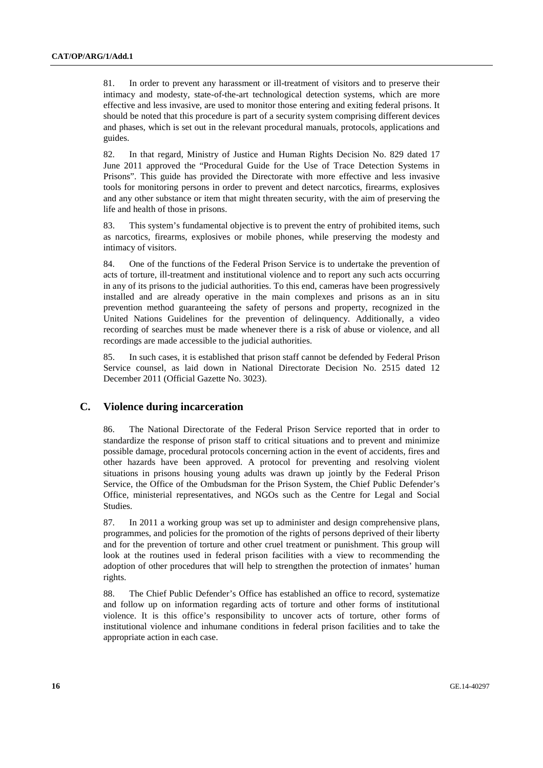81. In order to prevent any harassment or ill-treatment of visitors and to preserve their intimacy and modesty, state-of-the-art technological detection systems, which are more effective and less invasive, are used to monitor those entering and exiting federal prisons. It should be noted that this procedure is part of a security system comprising different devices and phases, which is set out in the relevant procedural manuals, protocols, applications and guides.

82. In that regard, Ministry of Justice and Human Rights Decision No. 829 dated 17 June 2011 approved the "Procedural Guide for the Use of Trace Detection Systems in Prisons". This guide has provided the Directorate with more effective and less invasive tools for monitoring persons in order to prevent and detect narcotics, firearms, explosives and any other substance or item that might threaten security, with the aim of preserving the life and health of those in prisons.

83. This system's fundamental objective is to prevent the entry of prohibited items, such as narcotics, firearms, explosives or mobile phones, while preserving the modesty and intimacy of visitors.

84. One of the functions of the Federal Prison Service is to undertake the prevention of acts of torture, ill-treatment and institutional violence and to report any such acts occurring in any of its prisons to the judicial authorities. To this end, cameras have been progressively installed and are already operative in the main complexes and prisons as an in situ prevention method guaranteeing the safety of persons and property, recognized in the United Nations Guidelines for the prevention of delinquency. Additionally, a video recording of searches must be made whenever there is a risk of abuse or violence, and all recordings are made accessible to the judicial authorities.

85. In such cases, it is established that prison staff cannot be defended by Federal Prison Service counsel, as laid down in National Directorate Decision No. 2515 dated 12 December 2011 (Official Gazette No. 3023).

### **C. Violence during incarceration**

86. The National Directorate of the Federal Prison Service reported that in order to standardize the response of prison staff to critical situations and to prevent and minimize possible damage, procedural protocols concerning action in the event of accidents, fires and other hazards have been approved. A protocol for preventing and resolving violent situations in prisons housing young adults was drawn up jointly by the Federal Prison Service, the Office of the Ombudsman for the Prison System, the Chief Public Defender's Office, ministerial representatives, and NGOs such as the Centre for Legal and Social Studies.

87. In 2011 a working group was set up to administer and design comprehensive plans, programmes, and policies for the promotion of the rights of persons deprived of their liberty and for the prevention of torture and other cruel treatment or punishment. This group will look at the routines used in federal prison facilities with a view to recommending the adoption of other procedures that will help to strengthen the protection of inmates' human rights.

88. The Chief Public Defender's Office has established an office to record, systematize and follow up on information regarding acts of torture and other forms of institutional violence. It is this office's responsibility to uncover acts of torture, other forms of institutional violence and inhumane conditions in federal prison facilities and to take the appropriate action in each case.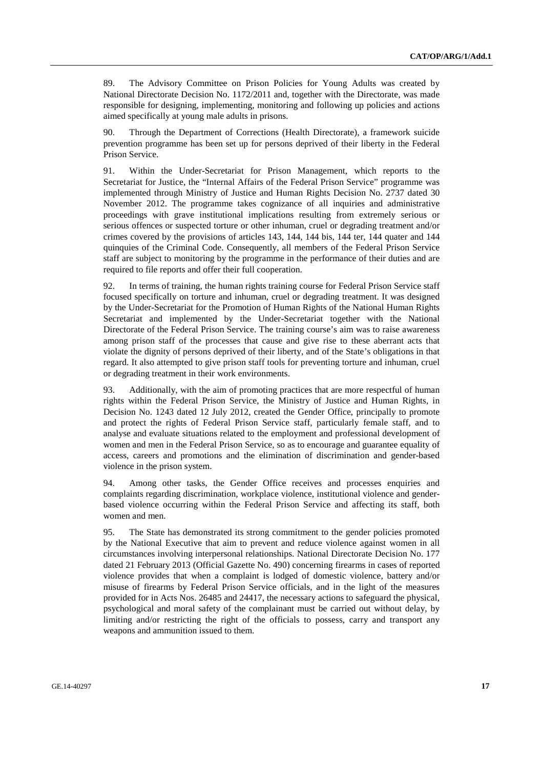89. The Advisory Committee on Prison Policies for Young Adults was created by National Directorate Decision No. 1172/2011 and, together with the Directorate, was made responsible for designing, implementing, monitoring and following up policies and actions aimed specifically at young male adults in prisons.

90. Through the Department of Corrections (Health Directorate), a framework suicide prevention programme has been set up for persons deprived of their liberty in the Federal Prison Service.

91. Within the Under-Secretariat for Prison Management, which reports to the Secretariat for Justice, the "Internal Affairs of the Federal Prison Service" programme was implemented through Ministry of Justice and Human Rights Decision No. 2737 dated 30 November 2012. The programme takes cognizance of all inquiries and administrative proceedings with grave institutional implications resulting from extremely serious or serious offences or suspected torture or other inhuman, cruel or degrading treatment and/or crimes covered by the provisions of articles 143, 144, 144 bis, 144 ter, 144 quater and 144 quinquies of the Criminal Code. Consequently, all members of the Federal Prison Service staff are subject to monitoring by the programme in the performance of their duties and are required to file reports and offer their full cooperation.

92. In terms of training, the human rights training course for Federal Prison Service staff focused specifically on torture and inhuman, cruel or degrading treatment. It was designed by the Under-Secretariat for the Promotion of Human Rights of the National Human Rights Secretariat and implemented by the Under-Secretariat together with the National Directorate of the Federal Prison Service. The training course's aim was to raise awareness among prison staff of the processes that cause and give rise to these aberrant acts that violate the dignity of persons deprived of their liberty, and of the State's obligations in that regard. It also attempted to give prison staff tools for preventing torture and inhuman, cruel or degrading treatment in their work environments.

93. Additionally, with the aim of promoting practices that are more respectful of human rights within the Federal Prison Service, the Ministry of Justice and Human Rights, in Decision No. 1243 dated 12 July 2012, created the Gender Office, principally to promote and protect the rights of Federal Prison Service staff, particularly female staff, and to analyse and evaluate situations related to the employment and professional development of women and men in the Federal Prison Service, so as to encourage and guarantee equality of access, careers and promotions and the elimination of discrimination and gender-based violence in the prison system.

94. Among other tasks, the Gender Office receives and processes enquiries and complaints regarding discrimination, workplace violence, institutional violence and genderbased violence occurring within the Federal Prison Service and affecting its staff, both women and men.

95. The State has demonstrated its strong commitment to the gender policies promoted by the National Executive that aim to prevent and reduce violence against women in all circumstances involving interpersonal relationships. National Directorate Decision No. 177 dated 21 February 2013 (Official Gazette No. 490) concerning firearms in cases of reported violence provides that when a complaint is lodged of domestic violence, battery and/or misuse of firearms by Federal Prison Service officials, and in the light of the measures provided for in Acts Nos. 26485 and 24417, the necessary actions to safeguard the physical, psychological and moral safety of the complainant must be carried out without delay, by limiting and/or restricting the right of the officials to possess, carry and transport any weapons and ammunition issued to them.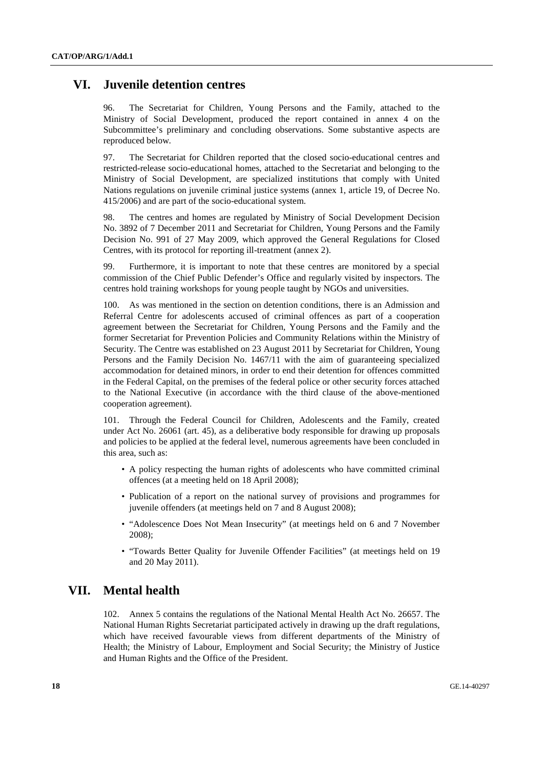# **VI. Juvenile detention centres**

96. The Secretariat for Children, Young Persons and the Family, attached to the Ministry of Social Development, produced the report contained in annex 4 on the Subcommittee's preliminary and concluding observations. Some substantive aspects are reproduced below.

97. The Secretariat for Children reported that the closed socio-educational centres and restricted-release socio-educational homes, attached to the Secretariat and belonging to the Ministry of Social Development, are specialized institutions that comply with United Nations regulations on juvenile criminal justice systems (annex 1, article 19, of Decree No. 415/2006) and are part of the socio-educational system.

98. The centres and homes are regulated by Ministry of Social Development Decision No. 3892 of 7 December 2011 and Secretariat for Children, Young Persons and the Family Decision No. 991 of 27 May 2009, which approved the General Regulations for Closed Centres, with its protocol for reporting ill-treatment (annex 2).

99. Furthermore, it is important to note that these centres are monitored by a special commission of the Chief Public Defender's Office and regularly visited by inspectors. The centres hold training workshops for young people taught by NGOs and universities.

100. As was mentioned in the section on detention conditions, there is an Admission and Referral Centre for adolescents accused of criminal offences as part of a cooperation agreement between the Secretariat for Children, Young Persons and the Family and the former Secretariat for Prevention Policies and Community Relations within the Ministry of Security. The Centre was established on 23 August 2011 by Secretariat for Children, Young Persons and the Family Decision No. 1467/11 with the aim of guaranteeing specialized accommodation for detained minors, in order to end their detention for offences committed in the Federal Capital, on the premises of the federal police or other security forces attached to the National Executive (in accordance with the third clause of the above-mentioned cooperation agreement).

101. Through the Federal Council for Children, Adolescents and the Family, created under Act No. 26061 (art. 45), as a deliberative body responsible for drawing up proposals and policies to be applied at the federal level, numerous agreements have been concluded in this area, such as:

- A policy respecting the human rights of adolescents who have committed criminal offences (at a meeting held on 18 April 2008);
- Publication of a report on the national survey of provisions and programmes for juvenile offenders (at meetings held on 7 and 8 August 2008);
- "Adolescence Does Not Mean Insecurity" (at meetings held on 6 and 7 November 2008);
- "Towards Better Quality for Juvenile Offender Facilities" (at meetings held on 19 and 20 May 2011).

# **VII. Mental health**

102. Annex 5 contains the regulations of the National Mental Health Act No. 26657. The National Human Rights Secretariat participated actively in drawing up the draft regulations, which have received favourable views from different departments of the Ministry of Health; the Ministry of Labour, Employment and Social Security; the Ministry of Justice and Human Rights and the Office of the President.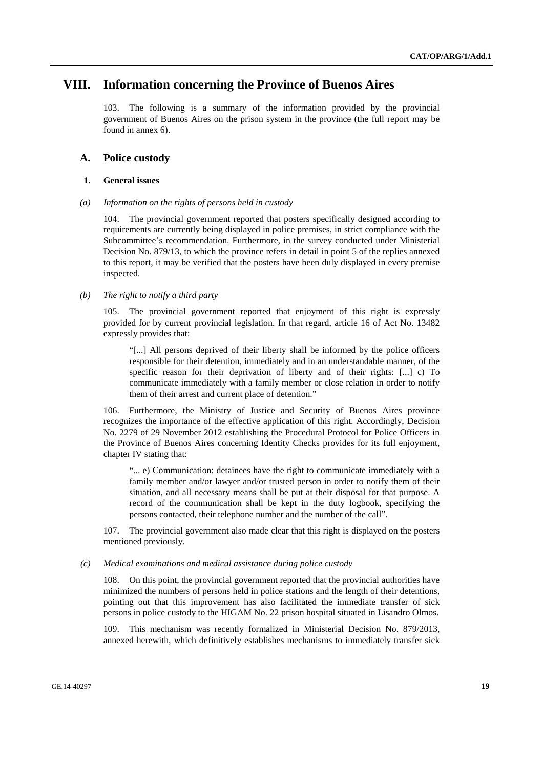# **VIII. Information concerning the Province of Buenos Aires**

103. The following is a summary of the information provided by the provincial government of Buenos Aires on the prison system in the province (the full report may be found in annex 6).

# **A. Police custody**

#### **1. General issues**

 *(a) Information on the rights of persons held in custody* 

104. The provincial government reported that posters specifically designed according to requirements are currently being displayed in police premises, in strict compliance with the Subcommittee's recommendation. Furthermore, in the survey conducted under Ministerial Decision No. 879/13, to which the province refers in detail in point 5 of the replies annexed to this report, it may be verified that the posters have been duly displayed in every premise inspected.

### *(b) The right to notify a third party*

105. The provincial government reported that enjoyment of this right is expressly provided for by current provincial legislation. In that regard, article 16 of Act No. 13482 expressly provides that:

"[...] All persons deprived of their liberty shall be informed by the police officers responsible for their detention, immediately and in an understandable manner, of the specific reason for their deprivation of liberty and of their rights: [...] c) To communicate immediately with a family member or close relation in order to notify them of their arrest and current place of detention."

106. Furthermore, the Ministry of Justice and Security of Buenos Aires province recognizes the importance of the effective application of this right. Accordingly, Decision No. 2279 of 29 November 2012 establishing the Procedural Protocol for Police Officers in the Province of Buenos Aires concerning Identity Checks provides for its full enjoyment, chapter IV stating that:

"... e) Communication: detainees have the right to communicate immediately with a family member and/or lawyer and/or trusted person in order to notify them of their situation, and all necessary means shall be put at their disposal for that purpose. A record of the communication shall be kept in the duty logbook, specifying the persons contacted, their telephone number and the number of the call".

107. The provincial government also made clear that this right is displayed on the posters mentioned previously.

### *(c) Medical examinations and medical assistance during police custody*

108. On this point, the provincial government reported that the provincial authorities have minimized the numbers of persons held in police stations and the length of their detentions, pointing out that this improvement has also facilitated the immediate transfer of sick persons in police custody to the HIGAM No. 22 prison hospital situated in Lisandro Olmos.

109. This mechanism was recently formalized in Ministerial Decision No. 879/2013, annexed herewith, which definitively establishes mechanisms to immediately transfer sick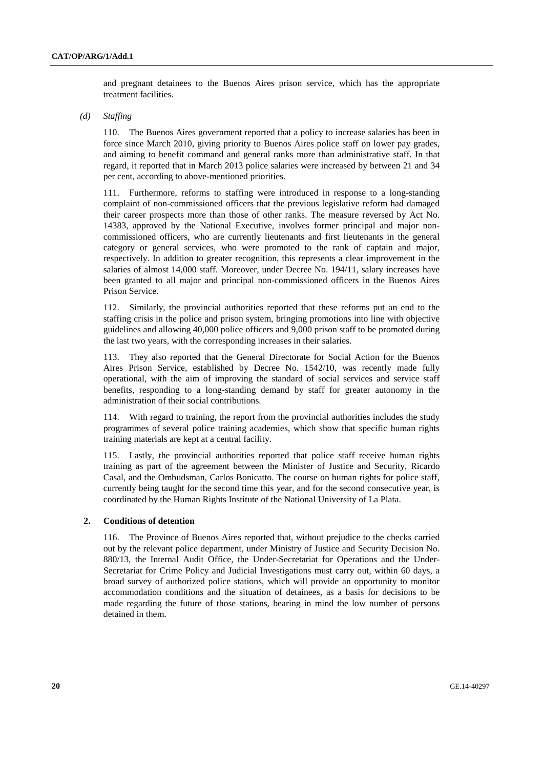and pregnant detainees to the Buenos Aires prison service, which has the appropriate treatment facilities.

 *(d) Staffing* 

110. The Buenos Aires government reported that a policy to increase salaries has been in force since March 2010, giving priority to Buenos Aires police staff on lower pay grades, and aiming to benefit command and general ranks more than administrative staff. In that regard, it reported that in March 2013 police salaries were increased by between 21 and 34 per cent, according to above-mentioned priorities.

111. Furthermore, reforms to staffing were introduced in response to a long-standing complaint of non-commissioned officers that the previous legislative reform had damaged their career prospects more than those of other ranks. The measure reversed by Act No. 14383, approved by the National Executive, involves former principal and major noncommissioned officers, who are currently lieutenants and first lieutenants in the general category or general services, who were promoted to the rank of captain and major, respectively. In addition to greater recognition, this represents a clear improvement in the salaries of almost 14,000 staff. Moreover, under Decree No. 194/11, salary increases have been granted to all major and principal non-commissioned officers in the Buenos Aires Prison Service.

112. Similarly, the provincial authorities reported that these reforms put an end to the staffing crisis in the police and prison system, bringing promotions into line with objective guidelines and allowing 40,000 police officers and 9,000 prison staff to be promoted during the last two years, with the corresponding increases in their salaries.

113. They also reported that the General Directorate for Social Action for the Buenos Aires Prison Service, established by Decree No. 1542/10, was recently made fully operational, with the aim of improving the standard of social services and service staff benefits, responding to a long-standing demand by staff for greater autonomy in the administration of their social contributions.

114. With regard to training, the report from the provincial authorities includes the study programmes of several police training academies, which show that specific human rights training materials are kept at a central facility.

115. Lastly, the provincial authorities reported that police staff receive human rights training as part of the agreement between the Minister of Justice and Security, Ricardo Casal, and the Ombudsman, Carlos Bonicatto. The course on human rights for police staff, currently being taught for the second time this year, and for the second consecutive year, is coordinated by the Human Rights Institute of the National University of La Plata.

### **2. Conditions of detention**

116. The Province of Buenos Aires reported that, without prejudice to the checks carried out by the relevant police department, under Ministry of Justice and Security Decision No. 880/13, the Internal Audit Office, the Under-Secretariat for Operations and the Under-Secretariat for Crime Policy and Judicial Investigations must carry out, within 60 days, a broad survey of authorized police stations, which will provide an opportunity to monitor accommodation conditions and the situation of detainees, as a basis for decisions to be made regarding the future of those stations, bearing in mind the low number of persons detained in them.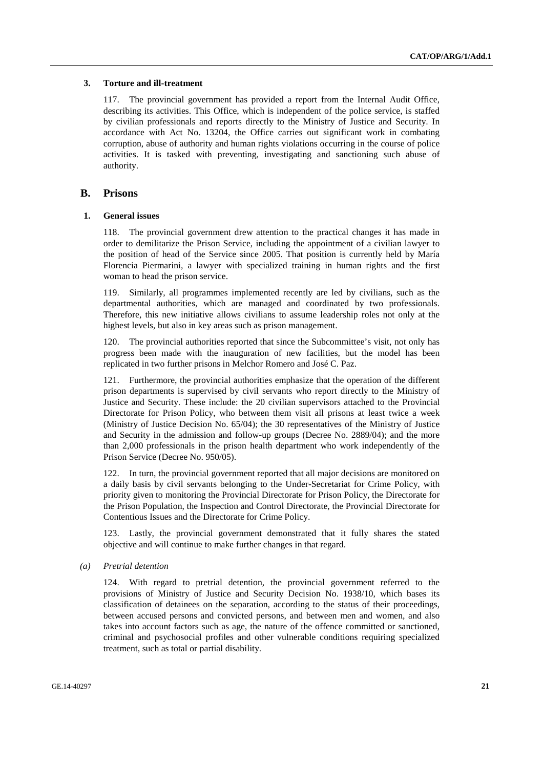#### **3. Torture and ill-treatment**

117. The provincial government has provided a report from the Internal Audit Office, describing its activities. This Office, which is independent of the police service, is staffed by civilian professionals and reports directly to the Ministry of Justice and Security. In accordance with Act No. 13204, the Office carries out significant work in combating corruption, abuse of authority and human rights violations occurring in the course of police activities. It is tasked with preventing, investigating and sanctioning such abuse of authority.

## **B. Prisons**

### **1. General issues**

118. The provincial government drew attention to the practical changes it has made in order to demilitarize the Prison Service, including the appointment of a civilian lawyer to the position of head of the Service since 2005. That position is currently held by María Florencia Piermarini, a lawyer with specialized training in human rights and the first woman to head the prison service.

119. Similarly, all programmes implemented recently are led by civilians, such as the departmental authorities, which are managed and coordinated by two professionals. Therefore, this new initiative allows civilians to assume leadership roles not only at the highest levels, but also in key areas such as prison management.

120. The provincial authorities reported that since the Subcommittee's visit, not only has progress been made with the inauguration of new facilities, but the model has been replicated in two further prisons in Melchor Romero and José C. Paz.

121. Furthermore, the provincial authorities emphasize that the operation of the different prison departments is supervised by civil servants who report directly to the Ministry of Justice and Security. These include: the 20 civilian supervisors attached to the Provincial Directorate for Prison Policy, who between them visit all prisons at least twice a week (Ministry of Justice Decision No. 65/04); the 30 representatives of the Ministry of Justice and Security in the admission and follow-up groups (Decree No. 2889/04); and the more than 2,000 professionals in the prison health department who work independently of the Prison Service (Decree No. 950/05).

122. In turn, the provincial government reported that all major decisions are monitored on a daily basis by civil servants belonging to the Under-Secretariat for Crime Policy, with priority given to monitoring the Provincial Directorate for Prison Policy, the Directorate for the Prison Population, the Inspection and Control Directorate, the Provincial Directorate for Contentious Issues and the Directorate for Crime Policy.

123. Lastly, the provincial government demonstrated that it fully shares the stated objective and will continue to make further changes in that regard.

 *(a) Pretrial detention* 

124. With regard to pretrial detention, the provincial government referred to the provisions of Ministry of Justice and Security Decision No. 1938/10, which bases its classification of detainees on the separation, according to the status of their proceedings, between accused persons and convicted persons, and between men and women, and also takes into account factors such as age, the nature of the offence committed or sanctioned, criminal and psychosocial profiles and other vulnerable conditions requiring specialized treatment, such as total or partial disability.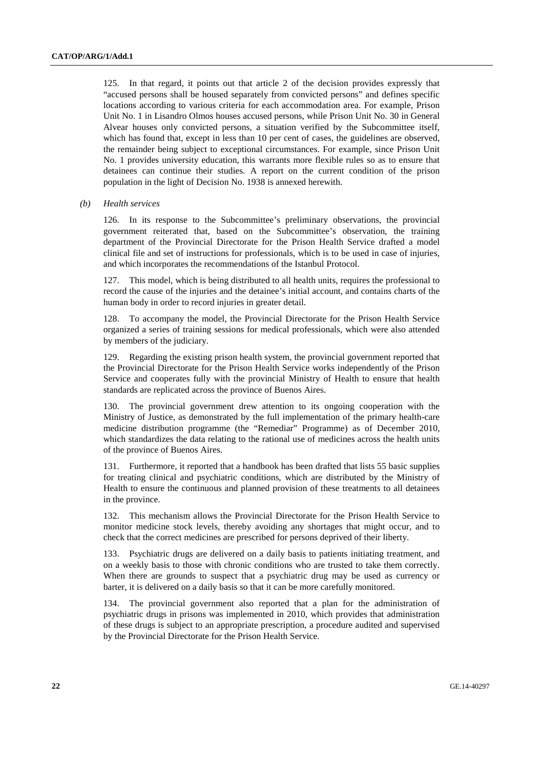125. In that regard, it points out that article 2 of the decision provides expressly that "accused persons shall be housed separately from convicted persons" and defines specific locations according to various criteria for each accommodation area. For example, Prison Unit No. 1 in Lisandro Olmos houses accused persons, while Prison Unit No. 30 in General Alvear houses only convicted persons, a situation verified by the Subcommittee itself, which has found that, except in less than 10 per cent of cases, the guidelines are observed. the remainder being subject to exceptional circumstances. For example, since Prison Unit No. 1 provides university education, this warrants more flexible rules so as to ensure that detainees can continue their studies. A report on the current condition of the prison population in the light of Decision No. 1938 is annexed herewith.

 *(b) Health services* 

126. In its response to the Subcommittee's preliminary observations, the provincial government reiterated that, based on the Subcommittee's observation, the training department of the Provincial Directorate for the Prison Health Service drafted a model clinical file and set of instructions for professionals, which is to be used in case of injuries, and which incorporates the recommendations of the Istanbul Protocol.

127. This model, which is being distributed to all health units, requires the professional to record the cause of the injuries and the detainee's initial account, and contains charts of the human body in order to record injuries in greater detail.

128. To accompany the model, the Provincial Directorate for the Prison Health Service organized a series of training sessions for medical professionals, which were also attended by members of the judiciary.

129. Regarding the existing prison health system, the provincial government reported that the Provincial Directorate for the Prison Health Service works independently of the Prison Service and cooperates fully with the provincial Ministry of Health to ensure that health standards are replicated across the province of Buenos Aires.

130. The provincial government drew attention to its ongoing cooperation with the Ministry of Justice, as demonstrated by the full implementation of the primary health-care medicine distribution programme (the "Remediar" Programme) as of December 2010, which standardizes the data relating to the rational use of medicines across the health units of the province of Buenos Aires.

131. Furthermore, it reported that a handbook has been drafted that lists 55 basic supplies for treating clinical and psychiatric conditions, which are distributed by the Ministry of Health to ensure the continuous and planned provision of these treatments to all detainees in the province.

132. This mechanism allows the Provincial Directorate for the Prison Health Service to monitor medicine stock levels, thereby avoiding any shortages that might occur, and to check that the correct medicines are prescribed for persons deprived of their liberty.

133. Psychiatric drugs are delivered on a daily basis to patients initiating treatment, and on a weekly basis to those with chronic conditions who are trusted to take them correctly. When there are grounds to suspect that a psychiatric drug may be used as currency or barter, it is delivered on a daily basis so that it can be more carefully monitored.

134. The provincial government also reported that a plan for the administration of psychiatric drugs in prisons was implemented in 2010, which provides that administration of these drugs is subject to an appropriate prescription, a procedure audited and supervised by the Provincial Directorate for the Prison Health Service.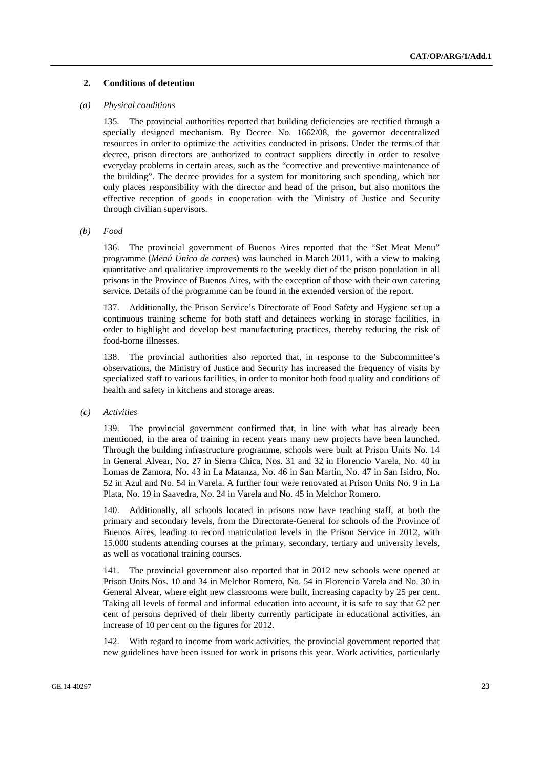### **2. Conditions of detention**

#### *(a) Physical conditions*

135. The provincial authorities reported that building deficiencies are rectified through a specially designed mechanism. By Decree No. 1662/08, the governor decentralized resources in order to optimize the activities conducted in prisons. Under the terms of that decree, prison directors are authorized to contract suppliers directly in order to resolve everyday problems in certain areas, such as the "corrective and preventive maintenance of the building". The decree provides for a system for monitoring such spending, which not only places responsibility with the director and head of the prison, but also monitors the effective reception of goods in cooperation with the Ministry of Justice and Security through civilian supervisors.

#### *(b) Food*

136. The provincial government of Buenos Aires reported that the "Set Meat Menu" programme (*Menú Único de carnes*) was launched in March 2011, with a view to making quantitative and qualitative improvements to the weekly diet of the prison population in all prisons in the Province of Buenos Aires, with the exception of those with their own catering service. Details of the programme can be found in the extended version of the report.

137. Additionally, the Prison Service's Directorate of Food Safety and Hygiene set up a continuous training scheme for both staff and detainees working in storage facilities, in order to highlight and develop best manufacturing practices, thereby reducing the risk of food-borne illnesses.

138. The provincial authorities also reported that, in response to the Subcommittee's observations, the Ministry of Justice and Security has increased the frequency of visits by specialized staff to various facilities, in order to monitor both food quality and conditions of health and safety in kitchens and storage areas.

#### *(c) Activities*

139. The provincial government confirmed that, in line with what has already been mentioned, in the area of training in recent years many new projects have been launched. Through the building infrastructure programme, schools were built at Prison Units No. 14 in General Alvear, No. 27 in Sierra Chica, Nos. 31 and 32 in Florencio Varela, No. 40 in Lomas de Zamora, No. 43 in La Matanza, No. 46 in San Martín, No. 47 in San Isidro, No. 52 in Azul and No. 54 in Varela. A further four were renovated at Prison Units No. 9 in La Plata, No. 19 in Saavedra, No. 24 in Varela and No. 45 in Melchor Romero.

140. Additionally, all schools located in prisons now have teaching staff, at both the primary and secondary levels, from the Directorate-General for schools of the Province of Buenos Aires, leading to record matriculation levels in the Prison Service in 2012, with 15,000 students attending courses at the primary, secondary, tertiary and university levels, as well as vocational training courses.

141. The provincial government also reported that in 2012 new schools were opened at Prison Units Nos. 10 and 34 in Melchor Romero, No. 54 in Florencio Varela and No. 30 in General Alvear, where eight new classrooms were built, increasing capacity by 25 per cent. Taking all levels of formal and informal education into account, it is safe to say that 62 per cent of persons deprived of their liberty currently participate in educational activities, an increase of 10 per cent on the figures for 2012.

142. With regard to income from work activities, the provincial government reported that new guidelines have been issued for work in prisons this year. Work activities, particularly